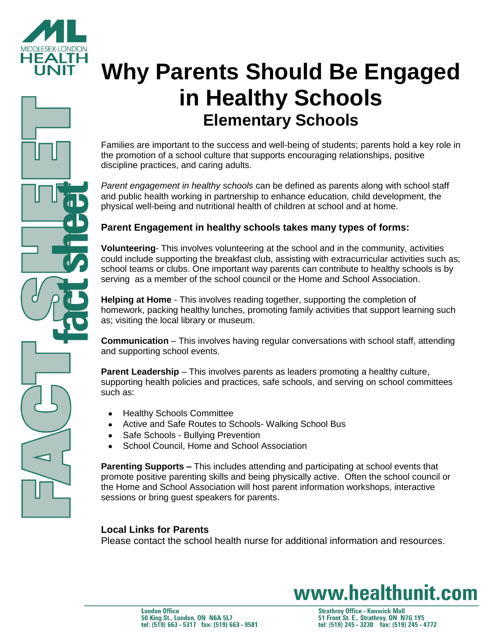

# **Why Parents Should Be Engaged in Healthy Schools Elementary Schools**

Families are important to the success and well-being of students; parents hold a key role in the promotion of a school culture that supports encouraging relationships, positive discipline practices, and caring adults.

*Parent engagement in healthy schools* can be defined as parents along with school staff and public health working in partnership to enhance education, child development, the physical well-being and nutritional health of children at school and at home.

### **Parent Engagement in healthy schools takes many types of forms:**

**Volunteering**- This involves volunteering at the school and in the community, activities could include supporting the breakfast club, assisting with extracurricular activities such as; school teams or clubs. One important way parents can contribute to healthy schools is by serving as a member of the school council or the Home and School Association.

**Helping at Home** - This involves reading together, supporting the completion of homework, packing healthy lunches, promoting family activities that support learning such as; visiting the local library or museum.

**Communication** – This involves having regular conversations with school staff, attending and supporting school events.

**Parent Leadership** – This involves parents as leaders promoting a healthy culture, supporting health policies and practices, safe schools, and serving on school committees such as:

- Healthy Schools Committee
- Active and Safe Routes to Schools- Walking School Bus  $\bullet$
- Safe Schools Bullying Prevention
- School Council, Home and School Association

**Parenting Supports –** This includes attending and participating at school events that promote positive parenting skills and being physically active. Often the school council or the Home and School Association will host parent information workshops, interactive sessions or bring guest speakers for parents.

### **Local Links for Parents**

Please contact the school health nurse for additional information and resources.

## www.healthunit.com